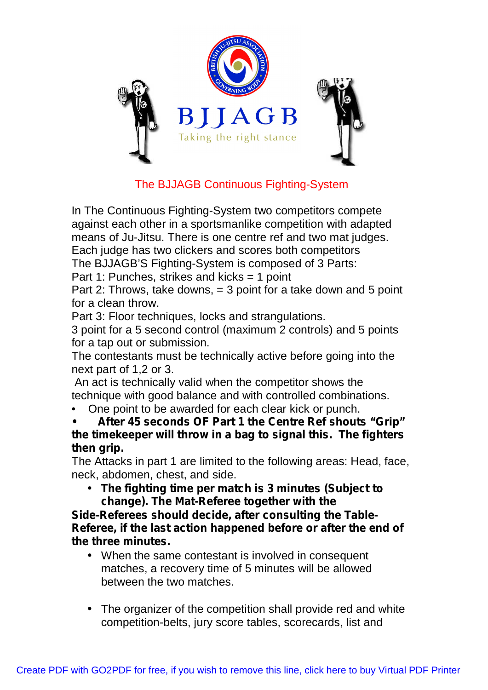

# The BJJAGB Continuous Fighting-System

In The Continuous Fighting-System two competitors compete against each other in a sportsmanlike competition with adapted means of Ju-Jitsu. There is one centre ref and two mat judges. Each judge has two clickers and scores both competitors The BJJAGB'S Fighting-System is composed of 3 Parts:

Part 1: Punches, strikes and kicks = 1 point

Part 2: Throws, take downs, = 3 point for a take down and 5 point for a clean throw.

Part 3: Floor techniques, locks and strangulations.

3 point for a 5 second control (maximum 2 controls) and 5 points for a tap out or submission.

The contestants must be technically active before going into the next part of 1,2 or 3.

An act is technically valid when the competitor shows the technique with good balance and with controlled combinations.

• One point to be awarded for each clear kick or punch.

**• After 45 seconds OF Part 1 the Centre Ref shouts "Grip" the timekeeper will throw in a bag to signal this. The fighters then grip.**

The Attacks in part 1 are limited to the following areas: Head, face, neck, abdomen, chest, and side.

• **The fighting time per match is 3 minutes (Subject to change). The Mat-Referee together with the**

**Side-Referees should decide, after consulting the Table-Referee, if the last action happened before or after the end of the three minutes.**

- When the same contestant is involved in consequent matches, a recovery time of 5 minutes will be allowed between the two matches.
- The organizer of the competition shall provide red and white competition-belts, jury score tables, scorecards, list and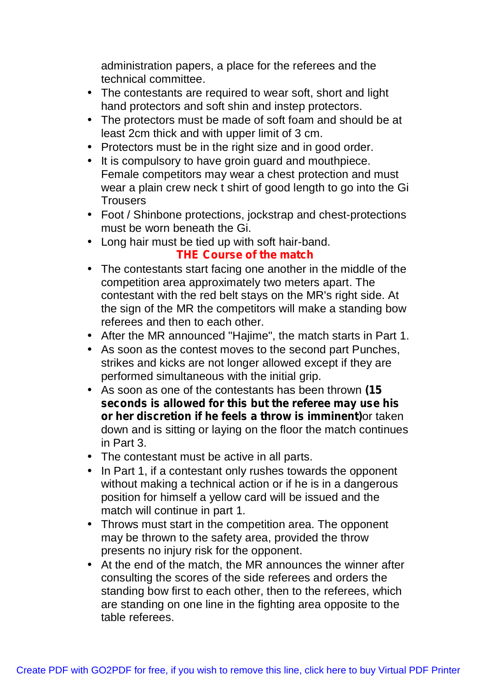administration papers, a place for the referees and the technical committee.

- The contestants are required to wear soft, short and light hand protectors and soft shin and instep protectors.
- The protectors must be made of soft foam and should be at least 2cm thick and with upper limit of 3 cm.
- Protectors must be in the right size and in good order.
- It is compulsory to have groin guard and mouthpiece. Female competitors may wear a chest protection and must wear a plain crew neck t shirt of good length to go into the Gi **Trousers**
- Foot / Shinbone protections, jockstrap and chest-protections must be worn beneath the Gi.
- Long hair must be tied up with soft hair-band.

## **THE Course of the match**

- The contestants start facing one another in the middle of the competition area approximately two meters apart. The contestant with the red belt stays on the MR's right side. At the sign of the MR the competitors will make a standing bow referees and then to each other.
- After the MR announced "Hajime", the match starts in Part 1.
- As soon as the contest moves to the second part Punches, strikes and kicks are not longer allowed except if they are performed simultaneous with the initial grip.
- As soon as one of the contestants has been thrown *(15 seconds is allowed for this but the referee may use his or her discretion if he feels a throw is imminent)*or taken down and is sitting or laying on the floor the match continues in Part 3.
- The contestant must be active in all parts.
- In Part 1, if a contestant only rushes towards the opponent without making a technical action or if he is in a dangerous position for himself a yellow card will be issued and the match will continue in part 1.
- Throws must start in the competition area. The opponent may be thrown to the safety area, provided the throw presents no injury risk for the opponent.
- At the end of the match, the MR announces the winner after consulting the scores of the side referees and orders the standing bow first to each other, then to the referees, which are standing on one line in the fighting area opposite to the table referees.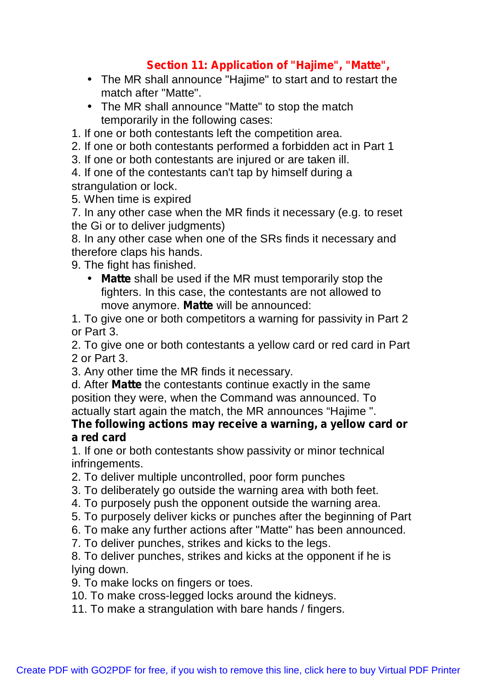## **Section 11: Application of "Hajime", "Matte",**

- The MR shall announce "Hajime" to start and to restart the match after "Matte".
- The MR shall announce "Matte" to stop the match temporarily in the following cases:

1. If one or both contestants left the competition area.

2. If one or both contestants performed a forbidden act in Part 1

3. If one or both contestants are injured or are taken ill.

4. If one of the contestants can't tap by himself during a strangulation or lock.

5. When time is expired

7. In any other case when the MR finds it necessary (e.g. to reset the Gi or to deliver judgments)

8. In any other case when one of the SRs finds it necessary and therefore claps his hands.

9. The fight has finished.

• **Matte** shall be used if the MR must temporarily stop the fighters. In this case, the contestants are not allowed to move anymore. **Matte** will be announced:

1. To give one or both competitors a warning for passivity in Part 2 or Part 3.

2. To give one or both contestants a yellow card or red card in Part 2 or Part 3.

3. Any other time the MR finds it necessary.

d. After **Matte** the contestants continue exactly in the same position they were, when the Command was announced. To actually start again the match, the MR announces "Hajime ".

### **The following actions may receive a warning, a yellow card or a red card**

1. If one or both contestants show passivity or minor technical infringements.

2. To deliver multiple uncontrolled, poor form punches

3. To deliberately go outside the warning area with both feet.

- 4. To purposely push the opponent outside the warning area.
- 5. To purposely deliver kicks or punches after the beginning of Part

6. To make any further actions after "Matte" has been announced.

7. To deliver punches, strikes and kicks to the legs.

8. To deliver punches, strikes and kicks at the opponent if he is lying down.

9. To make locks on fingers or toes.

10. To make cross-legged locks around the kidneys.

11. To make a strangulation with bare hands / fingers.